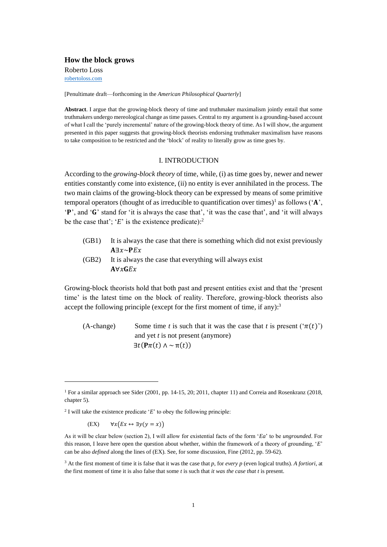**How the block grows** Roberto Loss [robertoloss.com](http://robertoloss.com/)

[Penultimate draft—forthcoming in the *American Philosophical Quarterly*]

**Abstract**. I argue that the growing-block theory of time and truthmaker maximalism jointly entail that some truthmakers undergo mereological change as time passes. Central to my argument is a grounding-based account of what I call the 'purely incremental' nature of the growing-block theory of time. As I will show, the argument presented in this paper suggests that growing-block theorists endorsing truthmaker maximalism have reasons to take composition to be restricted and the 'block' of reality to literally grow as time goes by.

### I. INTRODUCTION

According to the *growing-block theory* of time, while, (i) as time goes by, newer and newer entities constantly come into existence, (ii) no entity is ever annihilated in the process. The two main claims of the growing-block theory can be expressed by means of some primitive temporal operators (thought of as irreducible to quantification over times)<sup>1</sup> as follows ( $A$ <sup>'</sup>, 'P', and 'G' stand for 'it is always the case that', 'it was the case that', and 'it will always be the case that'; ' $E$ ' is the existence predicate):<sup>2</sup>

- (GB1) It is always the case that there is something which did not exist previously  $A \exists x \sim P E x$
- (GB2) It is always the case that everything will always exist  $A\forall x GEx$

Growing-block theorists hold that both past and present entities exist and that the 'present time' is the latest time on the block of reality. Therefore, growing-block theorists also accept the following principle (except for the first moment of time, if any): $3$ 

(A-change) Some time *t* is such that it was the case that *t* is present  $(\pi(t))$ and yet *t* is not present (anymore)  $\exists t$ ( $\mathbf{P}\pi(t) \wedge \sim \pi(t)$ )

(EX)  $\forall x (Ex \leftrightarrow \exists y(y = x))$ 

<sup>1</sup> For a similar approach see Sider (2001, pp. 14-15, 20; 2011, chapter 11) and Correia and Rosenkranz (2018, chapter 5).

<sup>2</sup> I will take the existence predicate '*E*' to obey the following principle:

As it will be clear below (section 2), I will allow for existential facts of the form '*Ea*' to be *ungrounded*. For this reason, I leave here open the question about whether, within the framework of a theory of grounding, '*E*' can be also *defined* along the lines of (EX). See, for some discussion, Fine (2012, pp. 59-62).

<sup>3</sup> At the first moment of time it is false that it was the case that *p*, for *every p* (even logical truths). *A fortiori*, at the first moment of time it is also false that some *t* is such that *it was the case that t* is present.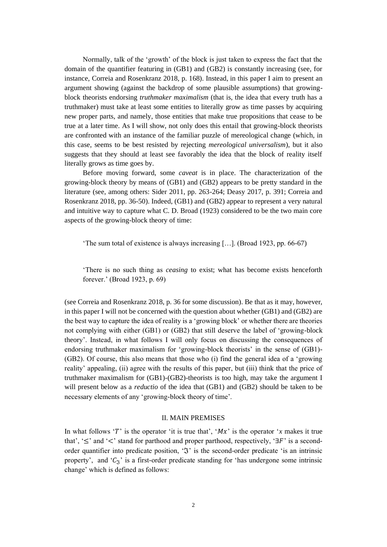Normally, talk of the 'growth' of the block is just taken to express the fact that the domain of the quantifier featuring in (GB1) and (GB2) is constantly increasing (see, for instance, Correia and Rosenkranz 2018, p. 168). Instead, in this paper I aim to present an argument showing (against the backdrop of some plausible assumptions) that growingblock theorists endorsing *truthmaker maximalism* (that is, the idea that every truth has a truthmaker) must take at least some entities to literally grow as time passes by acquiring new proper parts, and namely, those entities that make true propositions that cease to be true at a later time. As I will show, not only does this entail that growing-block theorists are confronted with an instance of the familiar puzzle of mereological change (which, in this case, seems to be best resisted by rejecting *mereological universalism*), but it also suggests that they should at least see favorably the idea that the block of reality itself literally grows as time goes by.

Before moving forward, some *caveat* is in place. The characterization of the growing-block theory by means of (GB1) and (GB2) appears to be pretty standard in the literature (see, among others: Sider 2011, pp. 263-264; Deasy 2017, p. 391; Correia and Rosenkranz 2018, pp. 36-50). Indeed, (GB1) and (GB2) appear to represent a very natural and intuitive way to capture what C. D. Broad (1923) considered to be the two main core aspects of the growing-block theory of time:

'The sum total of existence is always increasing […]. (Broad 1923, pp. 66-67)

'There is no such thing as *ceasing* to exist; what has become exists henceforth forever.' (Broad 1923, p. 69)

(see Correia and Rosenkranz 2018, p. 36 for some discussion). Be that as it may, however, in this paper I will not be concerned with the question about whether (GB1) and (GB2) are the best way to capture the idea of reality is a 'growing block' or whether there are theories not complying with either (GB1) or (GB2) that still deserve the label of 'growing-block theory'. Instead, in what follows I will only focus on discussing the consequences of endorsing truthmaker maximalism for 'growing-block theorists' in the sense of (GB1)- (GB2). Of course, this also means that those who (i) find the general idea of a 'growing reality' appealing, (ii) agree with the results of this paper, but (iii) think that the price of truthmaker maximalism for (GB1)-(GB2)-theorists is too high, may take the argument I will present below as a *reductio* of the idea that (GB1) and (GB2) should be taken to be necessary elements of any 'growing-block theory of time'.

### II. MAIN PREMISES

In what follows 'T' is the operator 'it is true that', ' $Mx$ ' is the operator '*x* makes it true that', ' $\leq$ ' and ' $\lt'$ ' stand for parthood and proper parthood, respectively, ' $\exists F$ ' is a secondorder quantifier into predicate position, ' $\Im$ ' is the second-order predicate 'is an intrinsic property', and ' $C_{\tilde{X}}$ ' is a first-order predicate standing for 'has undergone some intrinsic change' which is defined as follows: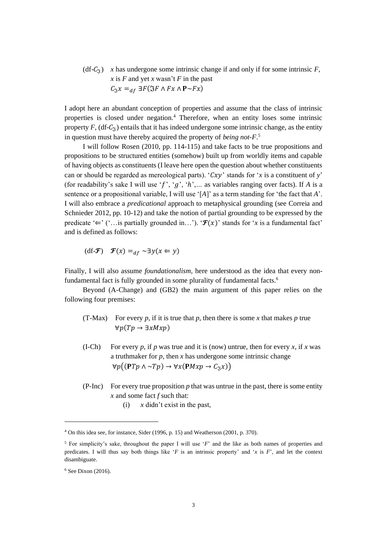(df- $C_{\tilde{\tau}}$ ) *x* has undergone some intrinsic change if and only if for some intrinsic *F*, *x* is *F* and yet *x* wasn't *F* in the past  $C_5 x =_{df} \exists F (\Im F \wedge F x \wedge P \sim F x)$ 

I adopt here an abundant conception of properties and assume that the class of intrinsic properties is closed under negation.<sup>4</sup> Therefore, when an entity loses some intrinsic property  $F$ , (df- $C_3$ ) entails that it has indeed undergone some intrinsic change, as the entity in question must have thereby acquired the property of *being not-F*. 5

I will follow Rosen (2010, pp. 114-115) and take facts to be true propositions and propositions to be structured entities (somehow) built up from worldly items and capable of having objects as constituents (I leave here open the question about whether constituents can or should be regarded as mereological parts). ' $Cxy$ ' stands for '*x* is a constituent of *y*' (for readability's sake I will use ' $f'$ , ' $g'$ , ' $h'$ ,... as variables ranging over facts). If *A* is a sentence or a propositional variable, I will use '[*A*]' as a term standing for 'the fact that *A*'. I will also embrace a *predicational* approach to metaphysical grounding (see Correia and Schnieder 2012, pp. 10-12) and take the notion of partial grounding to be expressed by the predicate ' $\Leftarrow$ ' ('...is partially grounded in...'). ' $\mathcal{F}(x)$ ' stands for '*x* is a fundamental fact' and is defined as follows:

$$
df\text{-}\mathcal{F}(x) =_{df} \sim \exists y (x \Leftarrow y)
$$

Finally, I will also assume *foundationalism*, here understood as the idea that every nonfundamental fact is fully grounded in some plurality of fundamental facts.<sup>6</sup>

Beyond (A-Change) and (GB2) the main argument of this paper relies on the following four premises:

- (T-Max) For every  $p$ , if it is true that  $p$ , then there is some  $x$  that makes  $p$  true  $\forall p(Tp \rightarrow \exists x Mxp)$
- (I-Ch) For every *p*, if *p* was true and it is (now) untrue, then for every *x*, if *x* was a truthmaker for *p*, then *x* has undergone some intrinsic change  $\forall p((PTp \land \neg Tp) \rightarrow \forall x(PMxp \rightarrow C_{\mathfrak{F}}x))$
- (P-Inc) For every true proposition  $p$  that was untrue in the past, there is some entity *x* and some fact *f* such that:
	- (i) *x* didn't exist in the past,

<sup>4</sup> On this idea see, for instance, Sider (1996, p. 15) and Weatherson (2001, p. 370).

<sup>5</sup> For simplicity's sake, throughout the paper I will use '*F*' and the like as both names of properties and predicates. I will thus say both things like '*F* is an intrinsic property' and '*x* is *F*', and let the context disambiguate.

 $6$  See Dixon (2016).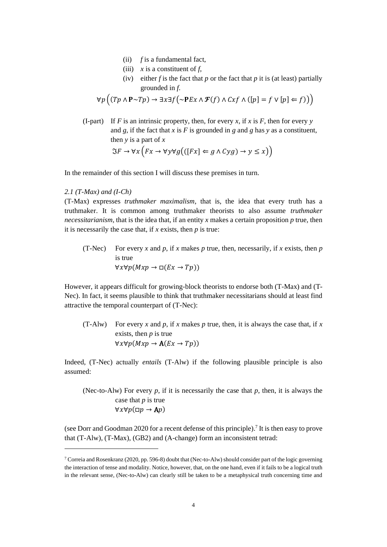- (ii) *f* is a fundamental fact,
- (iii)  $\bar{x}$  is a constituent of  $\bar{f}$ ,
- (iv) either *f* is the fact that *p* or the fact that *p* it is (at least) partially grounded in *f*.

$$
\forall p \left( (Tp \land P \sim Tp) \rightarrow \exists x \exists f \left( \sim PEx \land \mathcal{F}(f) \land Cxf \land ([p] = f \lor [p] \Leftarrow f) \right) \right)
$$

(I-part) If *F* is an intrinsic property, then, for every *x*, if *x* is *F*, then for every *y* and *g*, if the fact that *x* is *F* is grounded in *g* and *g* has *y* as a constituent, then *y* is a part of *x*  $\Im F \to \forall x (Fx \to \forall y \forall g (((Fx) \Leftarrow g \land Cyg) \to y \le x))$ 

In the remainder of this section I will discuss these premises in turn.

#### *2.1 (T-Max) and (I-Ch)*

(T-Max) expresses *truthmaker maximalism*, that is, the idea that every truth has a truthmaker. It is common among truthmaker theorists to also assume *truthmaker necessitarianism*, that is the idea that, if an entity *x* makes a certain proposition *p* true, then it is necessarily the case that, if *x* exists, then *p* is true:

(T-Nec) For every *x* and *p*, if *x* makes *p* true, then, necessarily, if *x* exists, then *p* is true  $\forall x \forall p (Mxp \rightarrow \Box (Ex \rightarrow Tp))$ 

However, it appears difficult for growing-block theorists to endorse both (T-Max) and (T-Nec). In fact, it seems plausible to think that truthmaker necessitarians should at least find attractive the temporal counterpart of (T-Nec):

(T-Alw) For every *x* and *p*, if *x* makes *p* true, then, it is always the case that, if *x* exists, then *p* is true  $\forall x \forall p (Mxp \rightarrow A(EX \rightarrow Tp))$ 

Indeed, (T-Nec) actually *entails* (T-Alw) if the following plausible principle is also assumed:

(Nec-to-Alw) For every  $p$ , if it is necessarily the case that  $p$ , then, it is always the case that *p* is true  $\forall x \forall p (\Box p \rightarrow Ap)$ 

(see Dorr and Goodman 2020 for a recent defense of this principle).<sup>7</sup> It is then easy to prove that (T-Alw), (T-Max), (GB2) and (A-change) form an inconsistent tetrad:

<sup>7</sup> Correia and Rosenkranz (2020, pp. 596-8) doubt that (Nec-to-Alw) should consider part of the logic governing the interaction of tense and modality. Notice, however, that, on the one hand, even if it fails to be a logical truth in the relevant sense, (Nec-to-Alw) can clearly still be taken to be a metaphysical truth concerning time and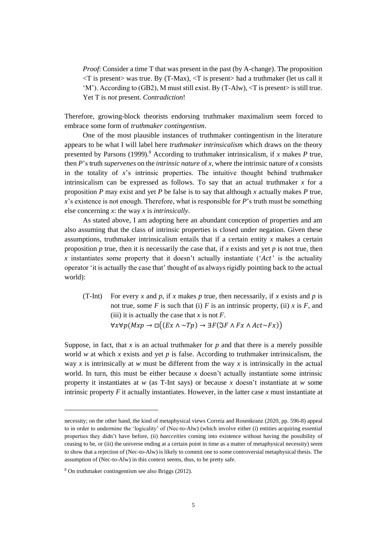*Proof*: Consider a time T that was present in the past (by A-change). The proposition  $\langle T \rangle$  is present was true. By (T-Max),  $\langle T \rangle$  is present had a truthmaker (let us call it  $(M')$ . According to (GB2), M must still exist. By (T-Alw),  $\langle T$  is present $\rangle$  is still true. Yet T is *not* present. *Contradiction*!

Therefore, growing-block theorists endorsing truthmaker maximalism seem forced to embrace some form of *truthmaker contingentism*.

One of the most plausible instances of truthmaker contingentism in the literature appears to be what I will label here *truthmaker intrinsicalism* which draws on the theory presented by Parsons (1999).<sup>8</sup> According to truthmaker intrinsicalism, if *x* makes *P* true, then *P*'s truth *supervenes* on the *intrinsic nature* of *x*, where the intrinsic nature of *x* consists in the totality of *x*'s intrinsic properties. The intuitive thought behind truthmaker intrinsicalism can be expressed as follows. To say that an actual truthmaker *x* for a proposition *P* may exist and yet *P* be false is to say that although *x* actually makes *P* true, *x*'s existence is not enough. Therefore, what is responsible for *P*'s truth must be something else concerning *x*: the way *x* is *intrinsically*.

As stated above, I am adopting here an abundant conception of properties and am also assuming that the class of intrinsic properties is closed under negation. Given these assumptions, truthmaker intrinsicalism entails that if a certain entity *x* makes a certain proposition *p* true, then it is necessarily the case that, if *x* exists and yet *p* is not true, then *x* instantiates some property that it doesn't actually instantiate (' $Act$ ' is the actuality operator 'it is actually the case that' thought of as always rigidly pointing back to the actual world):

(T-Int) For every *x* and *p*, if *x* makes *p* true, then necessarily, if *x* exists and *p* is not true, some *F* is such that (i) *F* is an intrinsic property, (ii) *x* is *F*, and (iii) it is actually the case that  $x$  is not  $F$ .  $\forall x \forall p (Mxp \rightarrow \Box((Ex \land \neg Tp) \rightarrow \exists F (\Im F \land Fx \land Act \sim Fx))$ 

Suppose, in fact, that  $x$  is an actual truthmaker for  $p$  and that there is a merely possible world *w* at which *x* exists and yet *p* is false. According to truthmaker intrinsicalism, the way *x* is intrinsically at *w* must be different from the way *x* is intrinsically in the actual world. In turn, this must be either because *x* doesn't actually instantiate some intrinsic property it instantiates at  $w$  (as T-Int says) or because  $x$  doesn't instantiate at  $w$  some intrinsic property *F* it actually instantiates. However, in the latter case *x* must instantiate at

necessity; on the other hand, the kind of metaphysical views Correia and Rosenkranz (2020, pp. 596-8) appeal to in order to undermine the 'logicality' of (Nec-to-Alw) (which involve either (i) entities acquiring essential properties they didn't have before, (ii) *haecceities* coming into existence without having the possibility of ceasing to be, or (iii) the universe ending at a certain point in time as a matter of metaphysical necessity) seem to show that a rejection of (Nec-to-Alw) is likely to commit one to some controversial metaphysical thesis. The assumption of (Nec-to-Alw) in this context seems, thus, to be pretty safe.

<sup>8</sup> On truthmaker contingentism see also Briggs (2012).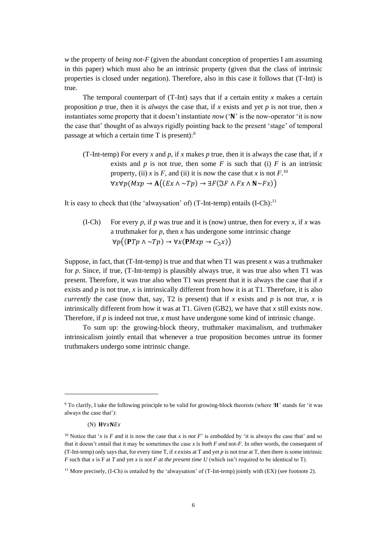*w* the property of *being not-F* (given the abundant conception of properties I am assuming in this paper) which must also be an intrinsic property (given that the class of intrinsic properties is closed under negation). Therefore, also in this case it follows that (T-Int) is true.

The temporal counterpart of  $(T-Int)$  says that if a certain entity x makes a certain proposition *p* true, then it is *always* the case that, if *x* exists and yet *p* is not true, then *x* instantiates some property that it doesn't instantiate *now*  $({\bf N}^{\dagger})$  is the now-operator 'it is now the case that' thought of as always rigidly pointing back to the present 'stage' of temporal passage at which a certain time T is present):<sup>9</sup>

(T-Int-temp) For every *x* and *p*, if *x* makes *p* true, then it is always the case that, if *x* exists and  $p$  is not true, then some  $F$  is such that (i)  $F$  is an intrinsic property, (ii) *x* is *F*, and (ii) it is now the case that *x* is not  $F^{10}$ .  $\forall x \forall p (Mxp \rightarrow A((Ex \land \neg Tp) \rightarrow \exists F (\Im F \land Fx \land N \sim Fx))$ 

It is easy to check that (the 'alwaysation' of) (T-Int-temp) entails  $(I-Ch)^{11}$ 

(I-Ch) For every *p*, if *p* was true and it is (now) untrue, then for every *x*, if *x* was a truthmaker for *p*, then *x* has undergone some intrinsic change  $\forall p((PTp \land \neg Tp) \rightarrow \forall x(PMxp \rightarrow C_{\gamma}x))$ 

Suppose, in fact, that (T-Int-temp) is true and that when T1 was present *x* was a truthmaker for *p*. Since, if true, (T-Int-temp) is plausibly always true, it was true also when T1 was present. Therefore, it was true also when T1 was present that it is always the case that if *x* exists and  $p$  is not true,  $x$  is intrinsically different from how it is at T1. Therefore, it is also *currently* the case (now that, say, T2 is present) that if *x* exists and *p* is not true, *x* is intrinsically different from how it was at T1. Given (GB2), we have that *x* still exists now. Therefore, if  $p$  is indeed not true,  $x$  must have undergone some kind of intrinsic change.

To sum up: the growing-block theory, truthmaker maximalism, and truthmaker intrinsicalism jointly entail that whenever a true proposition becomes untrue its former truthmakers undergo some intrinsic change.

<sup>&</sup>lt;sup>9</sup> To clarify, I take the following principle to be valid for growing-block theorists (where 'H' stands for 'it was always the case that'):

<sup>(</sup>N)  $H\forall xNEx$ 

<sup>&</sup>lt;sup>10</sup> Notice that '*x* is *F* and it is now the case that *x* is *not F*' is embedded by 'it is always the case that' and so that it doesn't entail that it may be sometimes the case *x* is *both F and* not-*F*. In other words, the consequent of (T-Int-temp) only says that, for every time T, if *x* exists at T and yet *p* is not true at T, then there is some intrinsic *F* such that *x* is F at *T* and yet *x* is not *F at the present time U* (which isn't required to be identical to T).

<sup>&</sup>lt;sup>11</sup> More precisely, (I-Ch) is entailed by the 'alwaysation' of  $(T\text{-Int-temp})$  jointly with  $(EX)$  (see footnote 2).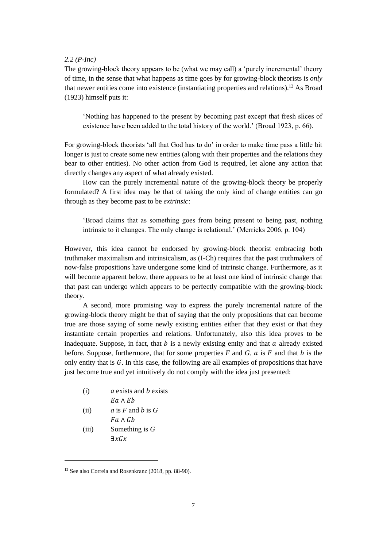#### *2.2 (P-Inc)*

The growing-block theory appears to be (what we may call) a 'purely incremental' theory of time, in the sense that what happens as time goes by for growing-block theorists is *only* that newer entities come into existence (instantiating properties and relations).<sup>12</sup> As Broad (1923) himself puts it:

'Nothing has happened to the present by becoming past except that fresh slices of existence have been added to the total history of the world.' (Broad 1923, p. 66).

For growing-block theorists 'all that God has to do' in order to make time pass a little bit longer is just to create some new entities (along with their properties and the relations they bear to other entities). No other action from God is required, let alone any action that directly changes any aspect of what already existed.

How can the purely incremental nature of the growing-block theory be properly formulated? A first idea may be that of taking the only kind of change entities can go through as they become past to be *extrinsic*:

'Broad claims that as something goes from being present to being past, nothing intrinsic to it changes. The only change is relational.' (Merricks 2006, p. 104)

However, this idea cannot be endorsed by growing-block theorist embracing both truthmaker maximalism and intrinsicalism, as (I-Ch) requires that the past truthmakers of now-false propositions have undergone some kind of intrinsic change. Furthermore, as it will become apparent below, there appears to be at least one kind of intrinsic change that that past can undergo which appears to be perfectly compatible with the growing-block theory.

A second, more promising way to express the purely incremental nature of the growing-block theory might be that of saying that the only propositions that can become true are those saying of some newly existing entities either that they exist or that they instantiate certain properties and relations. Unfortunately, also this idea proves to be inadequate. Suppose, in fact, that  $b$  is a newly existing entity and that  $a$  already existed before. Suppose, furthermore, that for some properties  $F$  and  $G$ ,  $\alpha$  is  $F$  and that  $\beta$  is the only entity that is  $G$ . In this case, the following are all examples of propositions that have just become true and yet intuitively do not comply with the idea just presented:

- (i) *a* exists and *b* exists  $Ea \wedge Eb$
- (ii)  $a$  is  $F$  and  $b$  is  $G$
- $Fa\wedge Gb$ (iii) Something is *G*  $\exists x Gx$

<sup>12</sup> See also Correia and Rosenkranz (2018, pp. 88-90).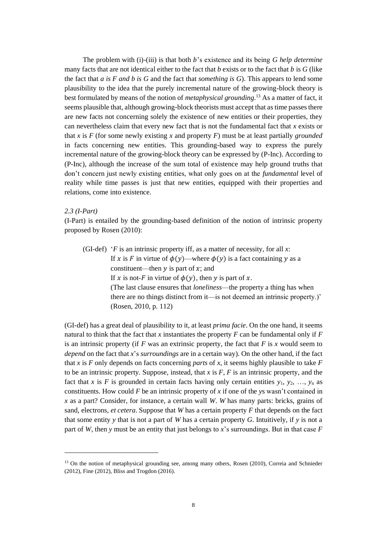The problem with (i)-(iii) is that both *b*'s existence and its being *G help determine* many facts that are not identical either to the fact that  $b$  exists or to the fact that  $b$  is  $G$  (like the fact that *a is F and b is G* and the fact that *something is G*). This appears to lend some plausibility to the idea that the purely incremental nature of the growing-block theory is best formulated by means of the notion of *metaphysical grounding*. <sup>13</sup> As a matter of fact, it seems plausible that, although growing-block theorists must accept that as time passes there are new facts not concerning solely the existence of new entities or their properties, they can nevertheless claim that every new fact that is not the fundamental fact that *x* exists or that *x* is *F* (for some newly existing *x* and property *F*) must be at least partially *grounded* in facts concerning new entities. This grounding-based way to express the purely incremental nature of the growing-block theory can be expressed by (P-Inc). According to (P-Inc), although the increase of the sum total of existence may help ground truths that don't concern just newly existing entities, what only goes on at the *fundamental* level of reality while time passes is just that new entities, equipped with their properties and relations, come into existence.

### *2.3 (I-Part)*

(I-Part) is entailed by the grounding-based definition of the notion of intrinsic property proposed by Rosen (2010):

(GI-def) '*F* is an intrinsic property iff, as a matter of necessity, for all *x*: If x is F in virtue of  $\phi(y)$ —where  $\phi(y)$  is a fact containing y as a constituent—then  $y$  is part of  $x$ ; and If x is not-F in virtue of  $\phi(y)$ , then y is part of x. (The last clause ensures that *loneliness*—the property a thing has when there are no things distinct from it—is not deemed an intrinsic property.)' (Rosen, 2010, p. 112)

(GI-def) has a great deal of plausibility to it, at least *prima facie*. On the one hand, it seems natural to think that the fact that *x* instantiates the property *F* can be fundamental only if *F* is an intrinsic property (if  $F$  was an extrinsic property, the fact that  $F$  is  $x$  would seem to *depend* on the fact that *x*'s *surroundings* are in a certain way). On the other hand, if the fact that *x* is *F* only depends on facts concerning *parts* of *x*, it seems highly plausible to take *F* to be an intrinsic property. Suppose, instead, that *x* is *F*, *F* is an intrinsic property, and the fact that *x* is *F* is grounded in certain facts having only certain entities  $y_1, y_2, ..., y_n$  as constituents. How could *F* be an intrinsic property of *x* if one of the *y*s wasn't contained in *x* as a part? Consider, for instance, a certain wall *W*. *W* has many parts: bricks, grains of sand, electrons, *et cetera*. Suppose that *W* has a certain property *F* that depends on the fact that some entity *y* that is not a part of *W* has a certain property *G*. Intuitively, if *y* is not a part of *W*, then *y* must be an entity that just belongs to *x*'s surroundings. But in that case *F*

<sup>&</sup>lt;sup>13</sup> On the notion of metaphysical grounding see, among many others, Rosen (2010), Correia and Schnieder (2012), Fine (2012), Bliss and Trogdon (2016).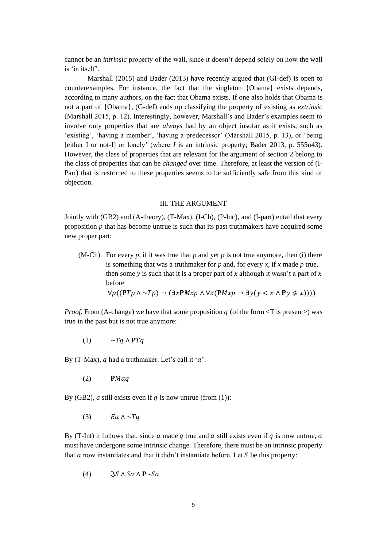cannot be an *intrinsic* property of the wall, since it doesn't depend solely on how the wall is 'in itself'.

Marshall (2015) and Bader (2013) have recently argued that (GI-def) is open to counterexamples. For instance, the fact that the singleton {Obama} exists depends, according to many authors, on the fact that Obama exists. If one also holds that Obama is not a part of {Obama}, (G-def) ends up classifying the property of existing as *extrinsic*  (Marshall 2015, p. 12). Interestingly, however, Marshall's and Bader's examples seem to involve only properties that are *always* had by an object insofar as it exists, such as 'existing', 'having a member', 'having a predecessor' (Marshall 2015, p. 13), or 'being [either I or not-I] or lonely' (where *I* is an intrinsic property; Bader 2013, p. 555n43). However, the class of properties that are relevant for the argument of section 2 belong to the class of properties that can be *changed* over time. Therefore, at least the version of (I-Part) that is restricted to these properties seems to be sufficiently safe from this kind of objection.

#### III. THE ARGUMENT

Jointly with (GB2) and (A-theory), (T-Max), (I-Ch), (P-Inc), and (I-part) entail that every proposition *p* that has become untrue is such that its past truthmakers have acquired some new proper part:

(M-Ch) For every  $p$ , if it was true that  $p$  and yet  $p$  is not true anymore, then (i) there is something that was a truthmaker for *p* and, for every *x*, if *x* made *p* true, then some *y* is such that it is a proper part of *x* although it wasn't a part of *x* before

$$
\forall p((\mathbf{P}Tp \land \sim Tp) \rightarrow (\exists x \mathbf{P} Mxp \land \forall x (\mathbf{P} Mxp \rightarrow \exists y (y < x \land \mathbf{P} y \nleq x))))
$$

*Proof.* From (A-change) we have that some proposition  $q$  (of the form  $\langle T \rangle$  is present) was true in the past but is not true anymore:

(1)  $\sim Tq \wedge PTq$ 

By (T-Max),  $q$  had a truthmaker. Let's call it ' $a$ ':

 $(2)$  PMaq

By (GB2), *a* still exists even if  $q$  is now untrue (from (1)):

(3)  $Ea \wedge \neg Ta$ 

By (T-Int) it follows that, since a made q true and a still exists even if q is now untrue, a must have undergone some intrinsic change. Therefore, there must be an intrinsic property that  $a$  now instantiates and that it didn't instantiate before. Let  $S$  be this property:

(4)  $\Im S \wedge Sa \wedge P \sim Sa$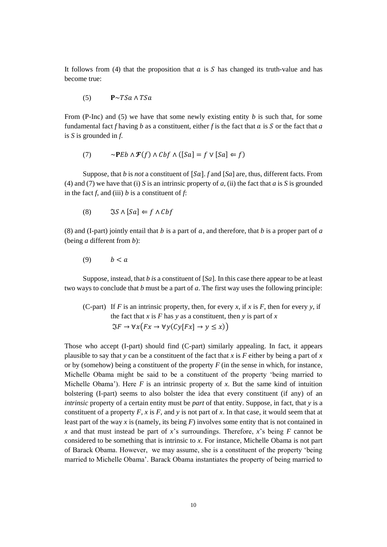It follows from (4) that the proposition that  $\alpha$  is  $S$  has changed its truth-value and has become true:

(5)  $\mathbf{P} \sim TSa \wedge TSa$ 

From (P-Inc) and (5) we have that some newly existing entity *b* is such that, for some fundamental fact  $f$  having  $b$  as a constituent, either  $f$  is the fact that  $a$  is  $S$  or the fact that  $a$ is *S* is grounded in *f*.

(7) 
$$
\sim \mathbf{P}Eb \wedge \mathbf{F}(f) \wedge Cbf \wedge ([Sa] = f \vee [Sa] \Leftarrow f)
$$

Suppose, that *b* is *not* a constituent of  $[Sa]$ . *f* and  $[Sa]$  are, thus, different facts. From (4) and (7) we have that (i) *S* is an intrinsic property of *a*, (ii) the fact that *a* is *S* is grounded in the fact  $f$ , and (iii)  $b$  is a constituent of  $f$ :

$$
(8) \qquad \Im S \wedge [Sa] \Leftarrow f \wedge Cbf
$$

(8) and (I-part) jointly entail that  $b$  is a part of  $a$ , and therefore, that  $b$  is a proper part of  $a$ (being *a* different from *b*):

$$
(9) \qquad b < a
$$

Suppose, instead, that *b is* a constituent of [*Sa*]. In this case there appear to be at least two ways to conclude that *b* must be a part of *a*. The first way uses the following principle:

(C-part) If *F* is an intrinsic property, then, for every *x*, if *x* is *F*, then for every *y*, if the fact that *x* is *F* has *y* as a constituent, then *y* is part of *x*  $\Im F \to \forall x (Fx \to \forall y(Cy[Fx] \to y \leq x))$ 

Those who accept (I-part) should find (C-part) similarly appealing. In fact, it appears plausible to say that *y* can be a constituent of the fact that *x* is *F* either by being a part of *x* or by (somehow) being a constituent of the property *F* (in the sense in which, for instance, Michelle Obama might be said to be a constituent of the property 'being married to Michelle Obama'). Here  $F$  is an intrinsic property of  $x$ . But the same kind of intuition bolstering (I-part) seems to also bolster the idea that every constituent (if any) of an *intrinsic* property of a certain entity must be *part* of that entity. Suppose, in fact, that *y* is a constituent of a property  $F$ ,  $x$  is  $F$ , and  $y$  is not part of  $x$ . In that case, it would seem that at least part of the way *x* is (namely, its being *F*) involves some entity that is not contained in *x* and that must instead be part of *x*'s surroundings. Therefore, *x*'s being *F* cannot be considered to be something that is intrinsic to *x*. For instance, Michelle Obama is not part of Barack Obama. However, we may assume, she is a constituent of the property 'being married to Michelle Obama'. Barack Obama instantiates the property of being married to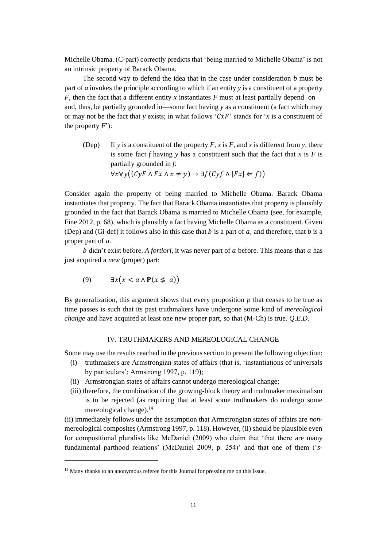Michelle Obama. (C-part) correctly predicts that 'being married to Michelle Obama' is not an intrinsic property of Barack Obama.

The second way to defend the idea that in the case under consideration *b* must be part of *a* invokes the principle according to which if an entity *y* is a constituent of a property *F*, then the fact that a different entity *x* instantiates *F* must at least partially depend on and, thus, be partially grounded in—some fact having *y* as a constituent (a fact which may or may not be the fact that *y* exists; in what follows ' $CxF$ ' stands for '*x* is a constituent of the property  $F$ <sup>'</sup>):

(Dep) If *y* is a constituent of the property  $F$ ,  $x$  is  $F$ , and  $x$  is different from  $y$ , there is some fact *f* having *y* has a constituent such that the fact that *x* is *F* is partially grounded in *f*:  $\forall x \forall y ((\mathit{CyF} \land \mathit{Fx} \land x \neq y) \rightarrow \exists f (\mathit{Cyf} \land \mathit{[Fx]} \Leftarrow f))$ 

Consider again the property of being married to Michelle Obama. Barack Obama instantiates that property. The fact that Barack Obama instantiates that property is plausibly grounded in the fact that Barack Obama is married to Michelle Obama (see, for example, Fine 2012, p. 68), which is plausibly a fact having Michelle Obama as a constituent. Given (Dep) and (Gi-def) it follows also in this case that  $b$  is a part of  $a$ , and therefore, that  $b$  is a proper part of *a*.

 $b$  didn't exist before. *A fortiori*, it was never part of  $a$  before. This means that  $a$  has just acquired a *new* (proper) part:

$$
(9) \qquad \exists x \big( x < a \land \mathbf{P}(x \not\leq a) \big)
$$

By generalization, this argument shows that every proposition  $p$  that ceases to be true as time passes is such that its past truthmakers have undergone some kind of *mereological change* and have acquired at least one new proper part, so that (M-Ch) is true. *Q*.*E*.*D*.

### IV. TRUTHMAKERS AND MEREOLOGICAL CHANGE

Some may use the results reached in the previous section to present the following objection:

- (i) truthmakers are Armstrongian states of affairs (that is, 'instantiations of universals by particulars'; Armstrong 1997, p. 119);
- (ii) Armstrongian states of affairs cannot undergo mereological change;
- (iii) therefore, the combination of the growing-block theory and truthmaker maximalism is to be rejected (as requiring that at least some truthmakers do undergo some mereological change).<sup>14</sup>

(ii) immediately follows under the assumption that Armstrongian states of affairs are *non*mereological composites (Armstrong 1997, p. 118). However, (ii) should be plausible even for compositional pluralists like McDaniel (2009) who claim that 'that there are many fundamental parthood relations' (McDaniel 2009, p. 254)' and that one of them ('*s*-

<sup>&</sup>lt;sup>14</sup> Many thanks to an anonymous referee for this Journal for pressing me on this issue.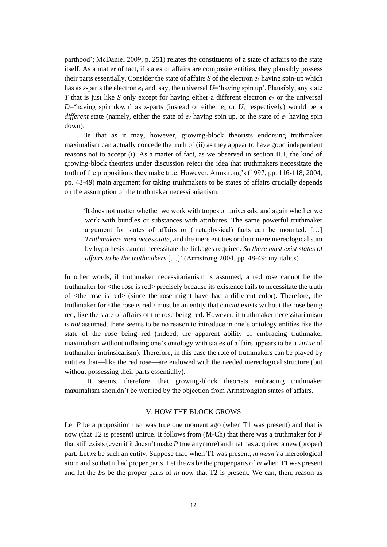parthood'; McDaniel 2009, p. 251) relates the constituents of a state of affairs to the state itself. As a matter of fact, if states of affairs are composite entities, they plausibly possess their parts essentially. Consider the state of affairs  $S$  of the electron  $e_1$  having spin-up which has as *s*-parts the electron  $e_1$  and, say, the universal  $U=$  'having spin up'. Plausibly, any state *T* that is just like *S* only except for having either a different electron  $e_2$  or the universal  $D$ ='having spin down' as *s*-parts (instead of either  $e_1$  or *U*, respectively) would be a *different* state (namely, either the state of  $e_2$  having spin up, or the state of  $e_1$  having spin down).

Be that as it may, however, growing-block theorists endorsing truthmaker maximalism can actually concede the truth of (ii) as they appear to have good independent reasons not to accept (i). As a matter of fact, as we observed in section II.1, the kind of growing-block theorists under discussion reject the idea that truthmakers necessitate the truth of the propositions they make true. However, Armstrong's (1997, pp. 116-118; 2004, pp. 48-49) main argument for taking truthmakers to be states of affairs crucially depends on the assumption of the truthmaker necessitarianism:

'It does not matter whether we work with tropes or universals, and again whether we work with bundles or substances with attributes. The same powerful truthmaker argument for states of affairs or (metaphysical) facts can be mounted. […] *Truthmakers must necessitate*, and the mere entities or their mere mereological sum by hypothesis cannot necessitate the linkages required. *So there must exist states of affairs to be the truthmakers* […]' (Armstrong 2004, pp. 48-49; my italics)

In other words, if truthmaker necessitarianism is assumed, a red rose cannot be the truthmaker for  $\langle$ the rose is red> precisely because its existence fails to necessitate the truth of <the rose is red> (since the rose might have had a different color). Therefore, the truthmaker for <the rose is red> must be an entity that can*not* exists without the rose being red, like the state of affairs of the rose being red. However, if truthmaker necessitarianism is *not* assumed, there seems to be no reason to introduce in one's ontology entities like the state of the rose being red (indeed, the apparent ability of embracing truthmaker maximalism without inflating one's ontology with states of affairs appears to be a *virtue* of truthmaker intrinsicalism). Therefore, in this case the role of truthmakers can be played by entities that—like the red rose—are endowed with the needed mereological structure (but without possessing their parts essentially).

It seems, therefore, that growing-block theorists embracing truthmaker maximalism shouldn't be worried by the objection from Armstrongian states of affairs.

## V. HOW THE BLOCK GROWS

Let  $P$  be a proposition that was true one moment ago (when T1 was present) and that is now (that T2 is present) untrue. It follows from (M-Ch) that there was a truthmaker for *P* that still exists (even if it doesn't make *P* true anymore) and that has acquired a new (proper) part. Let be such an entity. Suppose that, when T1 was present, *m wasn't* a mereological atom and so that it had proper parts. Let the as be the proper parts of *m* when T1 was present and let the  $b$ s be the proper parts of  $m$  now that T2 is present. We can, then, reason as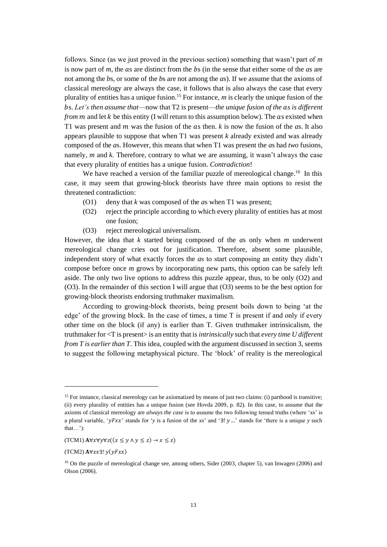follows. Since (as we just proved in the previous section) something that wasn't part of *m* is now part of *m*, the *a*s are distinct from the *b*s (in the sense that either some of the *a*s are not among the *b*s, or some of the *b*s are not among the *a*s). If we assume that the axioms of classical mereology are always the case, it follows that is also always the case that every plurality of entities has a unique fusion.<sup>15</sup> For instance, *m* is clearly the unique fusion of the s. *Let's then assume that*—now that T2 is present—*the unique fusion of the s is different from*  $m$  and let  $k$  be this entity (I will return to this assumption below). The  $a$ s existed when T1 was present and  $m$  was the fusion of the  $a$ s then.  $k$  is now the fusion of the  $a$ s. It also appears plausible to suppose that when T1 was present *k* already existed and was already composed of the *a*s. However, this means that when T1 was present the *a*s had *two* fusions, namely, *m* and *k.* Therefore, contrary to what we are assuming, it wasn't always the case that every plurality of entities has a unique fusion. *Contradiction*!

We have reached a version of the familiar puzzle of mereological change.<sup>16</sup> In this case, it may seem that growing-block theorists have three main options to resist the threatened contradiction:

- (O1) deny that *k* was composed of the *a*s when T1 was present;
- (O2) reject the principle according to which every plurality of entities has at most one fusion;
- (O3) reject mereological universalism.

However, the idea that *k* started being composed of the *a*s only when *m* underwent mereological change cries out for justification. Therefore, absent some plausible, independent story of what exactly forces the *a*s to start composing an entity they didn't compose before once *m* grows by incorporating new parts, this option can be safely left aside. The only two live options to address this puzzle appear, thus, to be only (O2) and (O3). In the remainder of this section I will argue that (O3) seems to be the best option for growing-block theorists endorsing truthmaker maximalism.

According to growing-block theorists, being present boils down to being 'at the edge' of the growing block. In the case of times, a time T is present if and only if every other time on the block (if any) is earlier than T. Given truthmaker intrinsicalism, the truthmaker for <T is present> is an entity that is *intrinsically* such that *every time U different from T is earlier than T*. This idea, coupled with the argument discussed in section 3, seems to suggest the following metaphysical picture. The 'block' of reality is the mereological

<sup>&</sup>lt;sup>15</sup> For instance, classical mereology can be axiomatized by means of just two claims: (i) parthood is transitive; (ii) every plurality of entities has a unique fusion (see Hovda 2009, p. 82). In this case, to assume that the axioms of classical mereology are *always the case* is to assume the two following tensed truths (where '*xx*' is a plural variable, ' $yFx x'$ ' stands for 'y is a fusion of the *xx*' and ' $\exists ! y$  ...' stands for 'there is a unique *y* such that…'):

 $(TCM1)$   $A\forall x \forall y \forall z ((x \leq y \land y \leq z) \rightarrow x \leq z)$ 

 $(TCM2)$  A $\forall xx$ ∃!  $y(yFx)x$ 

<sup>&</sup>lt;sup>16</sup> On the puzzle of mereological change see, among others, Sider (2003, chapter 5), van Inwagen (2006) and Olson (2006).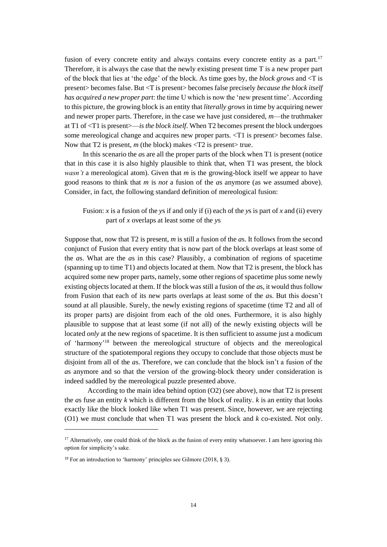fusion of every concrete entity and always contains every concrete entity as a part.<sup>17</sup> Therefore, it is always the case that the newly existing present time T is a new proper part of the block that lies at 'the edge' of the block. As time goes by, the *block grows* and <T is present> becomes false. But <T is present> becomes false precisely *because the block itself has acquired a new proper part*: the time U which is now the 'new present time'. According to this picture, the growing block is an entity that *literally grows* in time by acquiring newer and newer proper parts. Therefore, in the case we have just considered, *m*—the truthmaker at T1 of <T1 is present>—*is the block itself*. When T2 becomes present the block undergoes some mereological change and acquires new proper parts.  $\langle T1 \rangle$  is present becomes false. Now that T2 is present,  $m$  (the block) makes  $\langle T2 \rangle$  is present true.

In this scenario the *a*s are all the proper parts of the block when T1 is present (notice that in this case it is also highly plausible to think that, when T1 was present, the block *wasn't* a mereological atom). Given that *m* is the growing-block itself we appear to have good reasons to think that *m* is *not* a fusion of the *a*s anymore (as we assumed above). Consider, in fact, the following standard definition of mereological fusion:

# Fusion: *x* is a fusion of the *y*s if and only if (i) each of the *y*s is part of *x* and (ii) every part of *x* overlaps at least some of the *y*s

Suppose that, now that T2 is present, *m* is still a fusion of the *a*s. It follows from the second conjunct of Fusion that every entity that is now part of the block overlaps at least some of the *a*s. What are the *a*s in this case? Plausibly, a combination of regions of spacetime (spanning up to time T1) and objects located at them. Now that T2 is present, the block has acquired some new proper parts, namely, some other regions of spacetime plus some newly existing objects located at them. If the block was still a fusion of the *a*s, it would thus follow from Fusion that each of its new parts overlaps at least some of the *a*s. But this doesn't sound at all plausible. Surely, the newly existing regions of spacetime (time T2 and all of its proper parts) are disjoint from each of the old ones. Furthermore, it is also highly plausible to suppose that at least some (if not all) of the newly existing objects will be located *only* at the new regions of spacetime. It is then sufficient to assume just a modicum of 'harmony'<sup>18</sup> between the mereological structure of objects and the mereological structure of the spatiotemporal regions they occupy to conclude that those objects must be disjoint from all of the *a*s. Therefore, we can conclude that the block isn't a fusion of the *a*s anymore and so that the version of the growing-block theory under consideration is indeed saddled by the mereological puzzle presented above.

According to the main idea behind option (O2) (see above), now that T2 is present the *a*s fuse an entity *k* which is different from the block of reality. *k* is an entity that looks exactly like the block looked like when T1 was present. Since, however, we are rejecting (O1) we must conclude that when T1 was present the block and *k* co-existed. Not only.

<sup>&</sup>lt;sup>17</sup> Alternatively, one could think of the block as the fusion of every entity whatsoever. I am here ignoring this option for simplicity's sake.

<sup>&</sup>lt;sup>18</sup> For an introduction to 'harmony' principles see Gilmore (2018, § 3).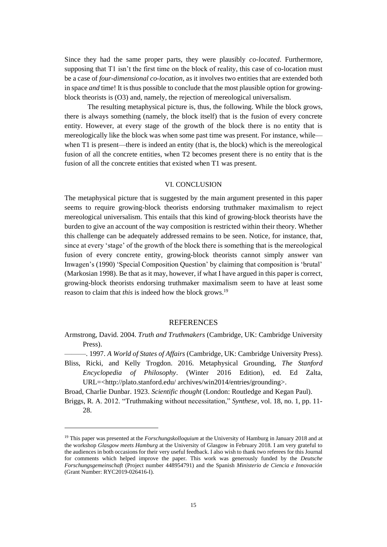Since they had the same proper parts, they were plausibly *co-located*. Furthermore, supposing that T1 isn't the first time on the block of reality, this case of co-location must be a case of *four-dimensional co-location*, as it involves two entities that are extended both in space *and* time! It is thus possible to conclude that the most plausible option for growingblock theorists is (O3) and, namely, the rejection of mereological universalism.

The resulting metaphysical picture is, thus, the following. While the block grows, there is always something (namely, the block itself) that is the fusion of every concrete entity. However, at every stage of the growth of the block there is no entity that is mereologically like the block was when some past time was present. For instance, while when T1 is present—there is indeed an entity (that is, the block) which is the mereological fusion of all the concrete entities, when T2 becomes present there is no entity that is the fusion of all the concrete entities that existed when T1 was present.

## VI. CONCLUSION

The metaphysical picture that is suggested by the main argument presented in this paper seems to require growing-block theorists endorsing truthmaker maximalism to reject mereological universalism. This entails that this kind of growing-block theorists have the burden to give an account of the way composition is restricted within their theory. Whether this challenge can be adequately addressed remains to be seen. Notice, for instance, that, since at every 'stage' of the growth of the block there is something that is the mereological fusion of every concrete entity, growing-block theorists cannot simply answer van Inwagen's (1990) 'Special Composition Question' by claiming that composition is 'brutal' (Markosian 1998). Be that as it may, however, if what I have argued in this paper is correct, growing-block theorists endorsing truthmaker maximalism seem to have at least some reason to claim that *this* is indeed how the block grows.<sup>19</sup>

#### **REFERENCES**

- Armstrong, David. 2004. *Truth and Truthmakers* (Cambridge, UK: Cambridge University Press).
- ———. 1997. *A World of States of Affairs* (Cambridge, UK: Cambridge University Press).
- Bliss, Ricki, and Kelly Trogdon. 2016. Metaphysical Grounding, *The Stanford Encyclopedia of Philosophy*. (Winter 2016 Edition), ed. Ed Zalta, URL=<http://plato.stanford.edu/ archives/win2014/entries/grounding>.

Broad, Charlie Dunbar. 1923. *Scientific thought* (London: Routledge and Kegan Paul).

Briggs, R. A. 2012. "Truthmaking without necessitation," *Synthese*, vol. 18, no. 1, pp. 11- 28.

<sup>19</sup> This paper was presented at the *Forschungskolloquium* at the University of Hamburg in January 2018 and at the workshop *Glasgow meets Hamburg* at the University of Glasgow in February 2018. I am very grateful to the audiences in both occasions for their very useful feedback. I also wish to thank two referees for this Journal for comments which helped improve the paper. This work was generously funded by the *Deutsche Forschungsgemeinschaft* (Project number 448954791) and the Spanish *Ministerio de Ciencia e Innovación* (Grant Number: RYC2019-026416-I).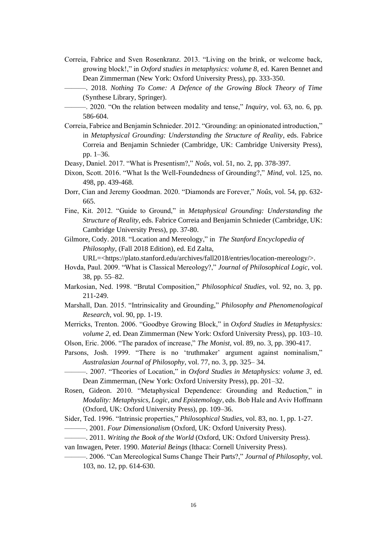- Correia, Fabrice and Sven Rosenkranz. 2013. "Living on the brink, or welcome back, growing block!," in *Oxford studies in metaphysics: volume 8*, ed. Karen Bennet and Dean Zimmerman (New York: Oxford University Press), pp. 333-350.
	- ———. 2018. *Nothing To Come: A Defence of the Growing Block Theory of Time* (Synthese Library, Springer).
	- ———. 2020. "On the relation between modality and tense," *Inquiry*, vol. 63, no. 6, pp. 586-604.
- Correia, Fabrice and Benjamin Schnieder. 2012. "Grounding: an opinionated introduction," in *Metaphysical Grounding: Understanding the Structure of Reality*, eds. Fabrice Correia and Benjamin Schnieder (Cambridge, UK: Cambridge University Press), pp. 1–36.
- Deasy, Daniel. 2017. "What is Presentism?," *Noûs*, vol. 51, no. 2, pp. 378-397.
- Dixon, Scott. 2016. "What Is the Well-Foundedness of Grounding?," *Mind*, vol. 125, no. 498, pp. 439-468.
- Dorr, Cian and Jeremy Goodman. 2020. "Diamonds are Forever," *Noûs*, vol. 54, pp. 632- 665.
- Fine, Kit. 2012. "Guide to Ground," in *Metaphysical Grounding: Understanding the Structure of Reality*, eds. Fabrice Correia and Benjamin Schnieder (Cambridge, UK: Cambridge University Press), pp. 37-80.
- Gilmore, Cody. 2018. "Location and Mereology," in *The Stanford Encyclopedia of Philosophy*, (Fall 2018 Edition), ed. Ed Zalta,

URL=<https://plato.stanford.edu/archives/fall2018/entries/location-mereology/>.

- Hovda, Paul. 2009. "What is Classical Mereology?," *Journal of Philosophical Logic*, vol. 38, pp. 55–82.
- Markosian, Ned. 1998. "Brutal Composition," *Philosophical Studies*, vol. 92, no. 3, pp. 211-249.
- Marshall, Dan. 2015. "Intrinsicality and Grounding," *Philosophy and Phenomenological Research*, vol. 90, pp. 1-19.
- Merricks, Trenton. 2006. "Goodbye Growing Block," in *Oxford Studies in Metaphysics: volume 2*, ed. Dean Zimmerman (New York: Oxford University Press), pp. 103–10.
- Olson, Eric. 2006. "The paradox of increase," *The Monist*, vol. 89, no. 3, pp. 390-417.
- Parsons, Josh. 1999. "There is no 'truthmaker' argument against nominalism," *Australasian Journal of Philosophy*, vol. 77, no. 3, pp. 325– 34.
	- ———. 2007. "Theories of Location," in *Oxford Studies in Metaphysics: volume 3*, ed. Dean Zimmerman, (New York: Oxford University Press), pp. 201–32.
- Rosen, Gideon. 2010. "Metaphysical Dependence: Grounding and Reduction," in *Modality: Metaphysics, Logic, and Epistemology*, eds. Bob Hale and Aviv Hoffmann (Oxford, UK: Oxford University Press), pp. 109–36.
- Sider, Ted. 1996. "Intrinsic properties," *Philosophical Studies*, vol. 83, no. 1, pp. 1-27. ———. 2001. *Four Dimensionalism* (Oxford, UK: Oxford University Press).
- ———. 2011. *Writing the Book of the World* (Oxford, UK: Oxford University Press).
- van Inwagen, Peter. 1990. *Material Beings* (Ithaca: Cornell University Press).
	- ———. 2006. "Can Mereological Sums Change Their Parts?," *Journal of Philosophy*, vol. 103, no. 12, pp. 614-630.